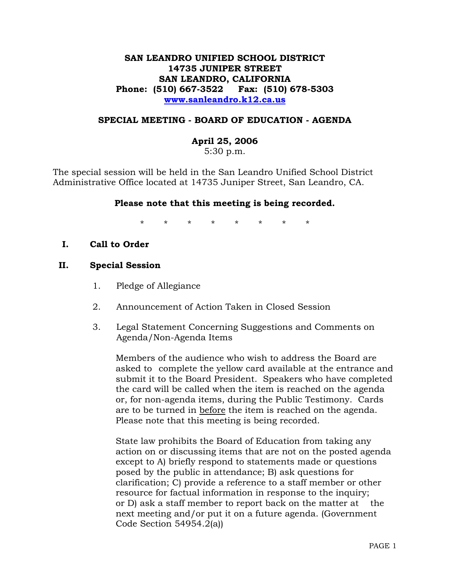### **SAN LEANDRO UNIFIED SCHOOL DISTRICT 14735 JUNIPER STREET SAN LEANDRO, CALIFORNIA Phone: (510) 667-3522 Fax: (510) 678-5303 www.sanleandro.k12.ca.us**

#### **SPECIAL MEETING - BOARD OF EDUCATION - AGENDA**

#### **April 25, 2006**

5:30 p.m.

The special session will be held in the San Leandro Unified School District Administrative Office located at 14735 Juniper Street, San Leandro, CA.

#### **Please note that this meeting is being recorded.**

\* \* \* \* \* \* \* \*

**I. Call to Order** 

#### **II. Special Session**

- 1. Pledge of Allegiance
- 2. Announcement of Action Taken in Closed Session
- 3. Legal Statement Concerning Suggestions and Comments on Agenda/Non-Agenda Items

 Members of the audience who wish to address the Board are asked to complete the yellow card available at the entrance and submit it to the Board President. Speakers who have completed the card will be called when the item is reached on the agenda or, for non-agenda items, during the Public Testimony. Cards are to be turned in before the item is reached on the agenda. Please note that this meeting is being recorded.

 State law prohibits the Board of Education from taking any action on or discussing items that are not on the posted agenda except to A) briefly respond to statements made or questions posed by the public in attendance; B) ask questions for clarification; C) provide a reference to a staff member or other resource for factual information in response to the inquiry; or D) ask a staff member to report back on the matter at the next meeting and/or put it on a future agenda. (Government Code Section 54954.2(a))